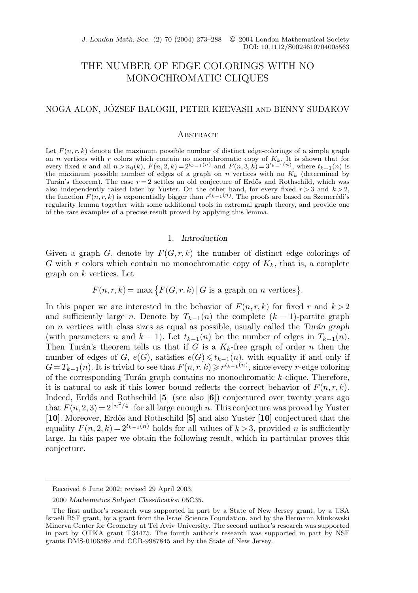*J. London Math. Soc.* (2) 70 (2004) 273–288  $\circ$  2004 London Mathematical Society DOI: 10.1112/S0024610704005563

# THE NUMBER OF EDGE COLORINGS WITH NO MONOCHROMATIC CLIQUES

# NOGA ALON, JÓZSEF BALOGH, PETER KEEVASH AND BENNY SUDAKOV

### **ABSTRACT**

Let  $F(n, r, k)$  denote the maximum possible number of distinct edge-colorings of a simple graph on n vertices with r colors which contain no monochromatic copy of  $K_k$ . It is shown that for every fixed k and all  $n>n_0(k)$ ,  $F(n, 2, k)=2^{t_{k-1}(n)}$  and  $F(n, 3, k)=3^{t_{k-1}(n)}$ , where  $t_{k-1}(n)$  is the maximum possible number of edges of a graph on n vertices with no  $K_k$  (determined by Turán's theorem). The case  $r = 2$  settles an old conjecture of Erdős and Rothschild, which was also independently raised later by Yuster. On the other hand, for every fixed  $r > 3$  and  $k > 2$ , the function  $F(n, r, k)$  is exponentially bigger than  $r^{t_{k-1}(n)}$ . The proofs are based on Szemerédi's regularity lemma together with some additional tools in extremal graph theory, and provide one of the rare examples of a precise result proved by applying this lemma.

# 1. *Introduction*

Given a graph G, denote by  $F(G, r, k)$  the number of distinct edge colorings of G with r colors which contain no monochromatic copy of  $K_k$ , that is, a complete graph on  $k$  vertices. Let

$$
F(n, r, k) = \max\{F(G, r, k) | G \text{ is a graph on } n \text{ vertices}\}.
$$

In this paper we are interested in the behavior of  $F(n, r, k)$  for fixed r and  $k > 2$ and sufficiently large n. Denote by  $T_{k-1}(n)$  the complete  $(k-1)$ -partite graph on n vertices with class sizes as equal as possible, usually called the *Tur´an graph* (with parameters n and  $k-1$ ). Let  $t_{k-1}(n)$  be the number of edges in  $T_{k-1}(n)$ . Then Turán's theorem tells us that if G is a  $K_k$ -free graph of order n then the number of edges of G,  $e(G)$ , satisfies  $e(G) \leq t_{k-1}(n)$ , with equality if and only if  $G = T_{k-1}(n)$ . It is trivial to see that  $F(n, r, k) \geq r^{t_{k-1}(n)}$ , since every r-edge coloring of the corresponding Turán graph contains no monochromatic  $k$ -clique. Therefore, it is natural to ask if this lower bound reflects the correct behavior of  $F(n, r, k)$ . Indeed, Erdős and Rothschild [5] (see also [6]) conjectured over twenty years ago that  $F(n, 2, 3) = 2^{\lfloor n^2/4 \rfloor}$  for all large enough n. This conjecture was proved by Yuster [**10**]. Moreover, Erd˝os and Rothschild [**5**] and also Yuster [**10**] conjectured that the equality  $F(n, 2, k) = 2^{t_{k-1}(n)}$  holds for all values of  $k > 3$ , provided n is sufficiently large. In this paper we obtain the following result, which in particular proves this conjecture.

Received 6 June 2002; revised 29 April 2003.

<sup>2000</sup> *Mathematics Subject Classification* 05C35.

The first author's research was supported in part by a State of New Jersey grant, by a USA Israeli BSF grant, by a grant from the Israel Science Foundation, and by the Hermann Minkowski Minerva Center for Geometry at Tel Aviv University. The second author's research was supported in part by OTKA grant T34475. The fourth author's research was supported in part by NSF grants DMS-0106589 and CCR-9987845 and by the State of New Jersey.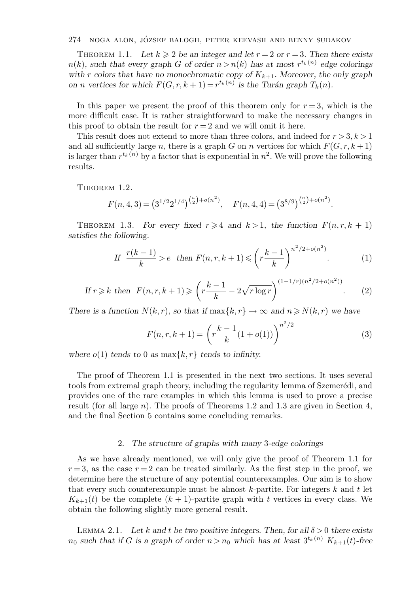THEOREM 1.1. Let  $k \geqslant 2$  be an integer and let  $r = 2$  or  $r = 3$ . Then there exists  $n(k)$ *, such that every graph* G of order  $n > n(k)$  has at most  $r^{t_k(n)}$  edge colorings *with* r colors that have no monochromatic copy of  $K_{k+1}$ . Moreover, the only graph *on n vertices for which*  $F(G, r, k + 1) = r^{t_k(n)}$  *is the Turán graph*  $T_k(n)$ *.* 

In this paper we present the proof of this theorem only for  $r = 3$ , which is the more difficult case. It is rather straightforward to make the necessary changes in this proof to obtain the result for  $r = 2$  and we will omit it here.

This result does not extend to more than three colors, and indeed for  $r > 3, k > 1$ and all sufficiently large n, there is a graph G on n vertices for which  $F(G, r, k+1)$ is larger than  $r^{t_k(n)}$  by a factor that is exponential in  $n^2$ . We will prove the following results.

THEOREM 1.2.

$$
F(n,4,3) = (3^{1/2}2^{1/4})^{{n \choose 2} + o(n^2)}, \quad F(n,4,4) = (3^{8/9})^{{n \choose 2} + o(n^2)}.
$$

THEOREM 1.3. *For every fixed*  $r \ge 4$  *and*  $k > 1$ *, the function*  $F(n, r, k + 1)$ *satisfies the following.*

If 
$$
\frac{r(k-1)}{k} > e
$$
 then  $F(n, r, k+1) \leq (r \frac{k-1}{k})^{n^2/2 + o(n^2)}$ . (1)

If 
$$
r \ge k
$$
 then  $F(n, r, k+1) \ge \left( r \frac{k-1}{k} - 2\sqrt{r \log r} \right)^{(1-1/r)(n^2/2 + o(n^2))}$ . (2)

*There is a function*  $N(k, r)$ *, so that if*  $\max\{k, r\} \to \infty$  *and*  $n \ge N(k, r)$  *we have* 

$$
F(n,r,k+1) = \left(r\frac{k-1}{k}(1+o(1))\right)^{n^2/2}
$$
\n(3)

where  $o(1)$  *tends to* 0 *as* max $\{k, r\}$  *tends to infinity.* 

The proof of Theorem 1.1 is presented in the next two sections. It uses several tools from extremal graph theory, including the regularity lemma of Szemerédi, and provides one of the rare examples in which this lemma is used to prove a precise result (for all large n). The proofs of Theorems 1.2 and 1.3 are given in Section 4, and the final Section 5 contains some concluding remarks.

### 2. *The structure of graphs with many* 3*-edge colorings*

As we have already mentioned, we will only give the proof of Theorem 1.1 for  $r = 3$ , as the case  $r = 2$  can be treated similarly. As the first step in the proof, we determine here the structure of any potential counterexamples. Our aim is to show that every such counterexample must be almost  $k$ -partite. For integers  $k$  and  $t$  let  $K_{k+1}(t)$  be the complete  $(k+1)$ -partite graph with t vertices in every class. We obtain the following slightly more general result.

LEMMA 2.1. Let k and t be two positive integers. Then, for all  $\delta > 0$  there exists  $n_0$  *such that if* G *is a graph of order*  $n > n_0$  *which has at least*  $3^{t_k(n)}$   $K_{k+1}(t)$ *-free*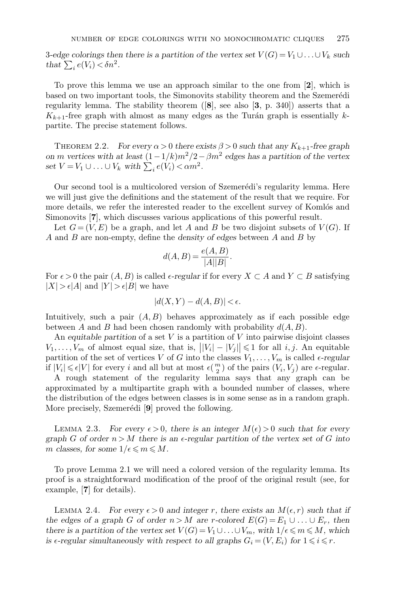3-edge colorings then there is a partition of the vertex set  $V(G) = V_1 \cup \ldots \cup V_k$  such *that*  $\sum_i e(V_i) < \delta n^2$ *.* 

To prove this lemma we use an approach similar to the one from [**2**], which is based on two important tools, the Simonovits stability theorem and the Szemerédi regularity lemma. The stability theorem ([**8**], see also [**3**, p. 340]) asserts that a  $K_{k+1}$ -free graph with almost as many edges as the Turán graph is essentially kpartite. The precise statement follows.

THEOREM 2.2. *For every*  $\alpha > 0$  *there exists*  $\beta > 0$  *such that any*  $K_{k+1}$ -free graph *on m* vertices with at least  $(1-1/k)m^2/2 - \beta m^2$  edges has a partition of the vertex set  $V = V_1 \cup \ldots \cup V_k$  with  $\sum_i e(V_i) < \alpha m^2$ .

Our second tool is a multicolored version of Szemerédi's regularity lemma. Here we will just give the definitions and the statement of the result that we require. For more details, we refer the interested reader to the excellent survey of Komlós and Simonovits [**7**], which discusses various applications of this powerful result.

Let  $G = (V, E)$  be a graph, and let A and B be two disjoint subsets of  $V(G)$ . If A and B are non-empty, define the *density of edges* between A and B by

$$
d(A, B) = \frac{e(A, B)}{|A||B|}.
$$

For  $\epsilon > 0$  the pair  $(A, B)$  is called  $\epsilon$ -regular if for every  $X \subset A$  and  $Y \subset B$  satisfying  $|X| > \epsilon |A|$  and  $|Y| > \epsilon |B|$  we have

$$
|d(X, Y) - d(A, B)| < \epsilon.
$$

Intuitively, such a pair  $(A, B)$  behaves approximately as if each possible edge between A and B had been chosen randomly with probability  $d(A, B)$ .

An *equitable partition* of a set V is a partition of V into pairwise disjoint classes  $V_1,\ldots,V_m$  of almost equal size, that is,  $||V_i|-|V_j|| \leq 1$  for all  $i, j$ . An equitable partition of the set of vertices V of G into the classes  $V_1, \ldots, V_m$  is called  $\epsilon$ -regular if  $|V_i| \leq \epsilon |V|$  for every i and all but at most  $\epsilon(\frac{m}{2})$  of the pairs  $(V_i, V_j)$  are  $\epsilon$ -regular.

A rough statement of the regularity lemma says that any graph can be approximated by a multipartite graph with a bounded number of classes, where the distribution of the edges between classes is in some sense as in a random graph. More precisely, Szemerédi [9] proved the following.

LEMMA 2.3. For every  $\epsilon > 0$ , there is an integer  $M(\epsilon) > 0$  such that for every *graph* G of order  $n > M$  there is an  $\epsilon$ -regular partition of the vertex set of G into m classes, for some  $1/\epsilon \leq m \leq M$ .

To prove Lemma 2.1 we will need a colored version of the regularity lemma. Its proof is a straightforward modification of the proof of the original result (see, for example, [**7**] for details).

LEMMA 2.4. *For every*  $\epsilon > 0$  and integer r, there exists an  $M(\epsilon, r)$  such that if *the edges of a graph G of order*  $n > M$  *are r*-colored  $E(G) = E_1 \cup ... \cup E_r$ , then *there is a partition of the vertex set*  $V(G) = V_1 \cup \ldots \cup V_m$ *, with*  $1/\epsilon \leq m \leq M$ *, which is*  $\epsilon$ -regular simultaneously with respect to all graphs  $G_i = (V, E_i)$  for  $1 \leq i \leq r$ .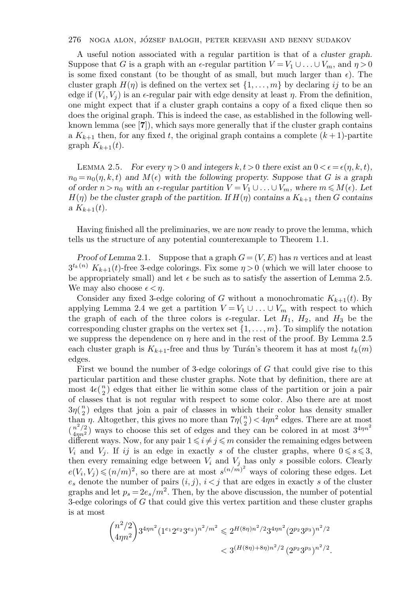A useful notion associated with a regular partition is that of a *cluster graph*. Suppose that G is a graph with an  $\epsilon$ -regular partition  $V = V_1 \cup \ldots \cup V_m$ , and  $\eta > 0$ is some fixed constant (to be thought of as small, but much larger than  $\epsilon$ ). The cluster graph  $H(\eta)$  is defined on the vertex set  $\{1,\ldots,m\}$  by declaring ij to be an edge if  $(V_i, V_j)$  is an  $\epsilon$ -regular pair with edge density at least  $\eta$ . From the definition, one might expect that if a cluster graph contains a copy of a fixed clique then so does the original graph. This is indeed the case, as established in the following wellknown lemma (see [**7**]), which says more generally that if the cluster graph contains a  $K_{k+1}$  then, for any fixed t, the original graph contains a complete  $(k+1)$ -partite graph  $K_{k+1}(t)$ .

LEMMA 2.5. *For every*  $\eta > 0$  and integers  $k, t > 0$  there exist an  $0 < \epsilon = \epsilon(\eta, k, t)$ ,  $n_0 = n_0(\eta, k, t)$  and  $M(\epsilon)$  with the following property. Suppose that G is a graph *of order*  $n > n_0$  *with an*  $\epsilon$ -regular partition  $V = V_1 \cup ... \cup V_m$ , where  $m \leq M(\epsilon)$ *. Let*  $H(\eta)$  be the cluster graph of the partition. If  $H(\eta)$  contains a  $K_{k+1}$  then G contains *a*  $K_{k+1}(t)$ .

Having finished all the preliminaries, we are now ready to prove the lemma, which tells us the structure of any potential counterexample to Theorem 1.1.

*Proof of Lemma* 2.1. Suppose that a graph  $G = (V, E)$  has n vertices and at least  $3^{t_k(n)} K_{k+1}(t)$ -free 3-edge colorings. Fix some  $\eta > 0$  (which we will later choose to be appropriately small) and let  $\epsilon$  be such as to satisfy the assertion of Lemma 2.5. We may also choose  $\epsilon < n$ .

Consider any fixed 3-edge coloring of G without a monochromatic  $K_{k+1}(t)$ . By applying Lemma 2.4 we get a partition  $V = V_1 \cup \ldots \cup V_m$  with respect to which the graph of each of the three colors is  $\epsilon$ -regular. Let  $H_1$ ,  $H_2$ , and  $H_3$  be the corresponding cluster graphs on the vertex set  $\{1,\ldots,m\}$ . To simplify the notation we suppress the dependence on  $\eta$  here and in the rest of the proof. By Lemma 2.5 each cluster graph is  $K_{k+1}$ -free and thus by Turán's theorem it has at most  $t_k(m)$ edges.

First we bound the number of 3-edge colorings of G that could give rise to this particular partition and these cluster graphs. Note that by definition, there are at most  $4\epsilon(\frac{n}{2})$  edges that either lie within some class of the partition or join a pair of classes that is not regular with respect to some color. Also there are at most  $3\eta(\frac{n}{2})$  edges that join a pair of classes in which their color has density smaller than *η*. Altogether, this gives no more than  $7\eta(\frac{n}{2}) < 4\eta n^2$  edges. There are at most  $\binom{n^2/2}{4mn^2}$  ways to choose this set of edges and they can be colored in at most  $3^{4\eta n^2}$ different ways. Now, for any pair  $1 \leq i \neq j \leq m$  consider the remaining edges between  $V_i$  and  $V_j$ . If ij is an edge in exactly s of the cluster graphs, where  $0 \le s \le 3$ , then every remaining edge between  $V_i$  and  $V_j$  has only s possible colors. Clearly  $e(V_i, V_j) \leqslant (n/m)^2$ , so there are at most  $s^{(n/m)^2}$  ways of coloring these edges. Let  $e_s$  denote the number of pairs  $(i, j)$ ,  $i < j$  that are edges in exactly s of the cluster graphs and let  $p_s = 2e_s/m^2$ . Then, by the above discussion, the number of potential 3-edge colorings of G that could give this vertex partition and these cluster graphs is at most

$$
{n^2/2 \choose 4\eta n^2} 3^{4\eta n^2} (1^{e_1} 2^{e_2} 3^{e_3})^{n^2/m^2} \leq 2^{H(8\eta)n^2/2} 3^{4\eta n^2} (2^{p_2} 3^{p_3})^{n^2/2}
$$
  
< 
$$
< 3^{(H(8\eta)+8\eta)n^2/2} (2^{p_2} 3^{p_3})^{n^2/2}.
$$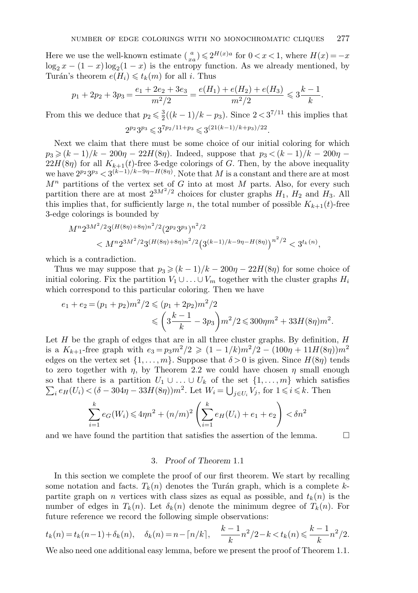Here we use the well-known estimate  $\binom{a}{xa} \leq 2^{H(x)a}$  for  $0 < x < 1$ , where  $H(x) = -x$  $\log_2 x - (1-x) \log_2(1-x)$  is the entropy function. As we already mentioned, by Turán's theorem  $e(H_i) \leq t_k(m)$  for all i. Thus

$$
p_1 + 2p_2 + 3p_3 = \frac{e_1 + 2e_2 + 3e_3}{m^2/2} = \frac{e(H_1) + e(H_2) + e(H_3)}{m^2/2} \leqslant 3\frac{k-1}{k}.
$$

From this we deduce that  $p_2 \leq \frac{3}{2}((k-1)/k - p_3)$ . Since  $2 < 3^{7/11}$  this implies that

$$
2^{p_2}3^{p_3} \leqslant 3^{7p_2/11+p_3} \leqslant 3^{(21(k-1)/k+p_3)/22}.
$$

Next we claim that there must be some choice of our initial coloring for which  $p_3 \ge (k-1)/k - 200\eta - 22H(8\eta)$ . Indeed, suppose that  $p_3 < (k-1)/k - 200\eta$  $22H(8\eta)$  for all  $K_{k+1}(t)$ -free 3-edge colorings of G. Then, by the above inequality we have  $2^{p_2}3^{p_3} < 3^{(k-1)/k-9\eta - H(8\eta)}$ . Note that M is a constant and there are at most  $M<sup>n</sup>$  partitions of the vertex set of G into at most M parts. Also, for every such partition there are at most  $2^{3M^2/2}$  choices for cluster graphs  $H_1$ ,  $H_2$  and  $H_3$ . All this implies that, for sufficiently large n, the total number of possible  $K_{k+1}(t)$ -free 3-edge colorings is bounded by

$$
M^{n}2^{3M^{2}/2}3^{(H(8\eta)+8\eta)n^{2}/2}(2^{p_{2}}3^{p_{3}})^{n^{2}/2}
$$
  
< 
$$
\leftarrow M^{n}2^{3M^{2}/2}3^{(H(8\eta)+8\eta)n^{2}/2}(3^{(k-1)/k-9\eta-H(8\eta)})^{n^{2}/2} < 3^{t_{k}(n)},
$$

which is a contradiction.

Thus we may suppose that  $p_3 \ge (k-1)/k - 200\eta - 22H(8\eta)$  for some choice of initial coloring. Fix the partition  $V_1 \cup \ldots \cup V_m$  together with the cluster graphs  $H_i$ which correspond to this particular coloring. Then we have

$$
e_1 + e_2 = (p_1 + p_2)m^2/2 \le (p_1 + 2p_2)m^2/2
$$
  
 
$$
\le \left(3\frac{k-1}{k} - 3p_3\right)m^2/2 \le 300\eta m^2 + 33H(8\eta)m^2.
$$

Let  $H$  be the graph of edges that are in all three cluster graphs. By definition,  $H$ is a  $K_{k+1}$ -free graph with  $e_3 = p_3 m^2/2 \geq (1 - 1/k) m^2/2 - (100\eta + 11H(8\eta))m^2$ edges on the vertex set  $\{1,\ldots,m\}$ . Suppose that  $\delta > 0$  is given. Since  $H(8\eta)$  tends to zero together with  $\eta$ , by Theorem 2.2 we could have chosen  $\eta$  small enough  $\sum_i e_H(U_i) < (\delta - 304\eta - 33H(8\eta))m^2$ . Let  $W_i = \bigcup_{j \in U_i} V_j$ , for  $1 \le i \le k$ . Then so that there is a partition  $U_1 \cup \ldots \cup U_k$  of the set  $\{1,\ldots,m\}$  which satisfies

$$
\sum_{i=1}^{k} e_G(W_i) \le 4\eta n^2 + (n/m)^2 \left(\sum_{i=1}^{k} e_H(U_i) + e_1 + e_2\right) < \delta n^2
$$

and we have found the partition that satisfies the assertion of the lemma.  $\Box$ 

### 3. *Proof of Theorem* 1.1

In this section we complete the proof of our first theorem. We start by recalling some notation and facts.  $T_k(n)$  denotes the Turán graph, which is a complete kpartite graph on n vertices with class sizes as equal as possible, and  $t_k(n)$  is the number of edges in  $T_k(n)$ . Let  $\delta_k(n)$  denote the minimum degree of  $T_k(n)$ . For future reference we record the following simple observations:

$$
t_k(n) = t_k(n-1) + \delta_k(n), \quad \delta_k(n) = n - \lceil n/k \rceil, \quad \frac{k-1}{k}n^2/2 - k < t_k(n) \leq \frac{k-1}{k}n^2/2.
$$

We also need one additional easy lemma, before we present the proof of Theorem 1.1.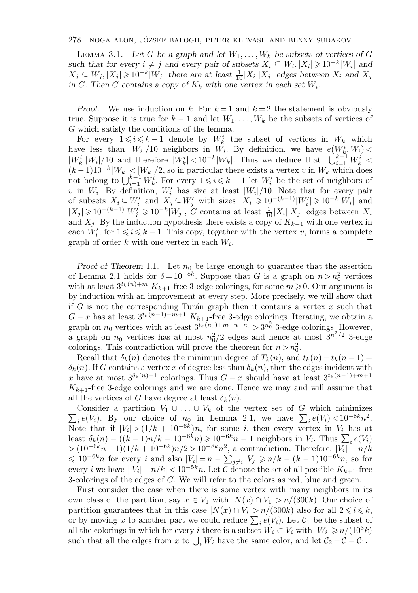LEMMA 3.1. Let G be a graph and let  $W_1, \ldots, W_k$  be subsets of vertices of G *such that for every*  $i \neq j$  *and every pair of subsets*  $X_i \subseteq W_i, |X_i| \geq 10^{-k}|W_i|$  *and*  $X_j \subseteq W_j, |X_j| \geq 10^{-k}|W_j|$  there are at least  $\frac{1}{10}|X_i||X_j|$  edges between  $X_i$  and  $X_j$ *in* G. Then G contains a copy of  $K_k$  with one vertex in each set  $W_i$ .

*Proof.* We use induction on k. For  $k = 1$  and  $k = 2$  the statement is obviously true. Suppose it is true for  $k-1$  and let  $W_1,\ldots,W_k$  be the subsets of vertices of G which satisfy the conditions of the lemma.

For every  $1 \leq i \leq k-1$  denote by  $W_k^i$  the subset of vertices in  $W_k$  which have less than  $|W_i|/10$  neighbors in  $W_i$ . By definition, we have  $e(W_k^i, W_i)$  $|W_k^i||W_i|/10$  and therefore  $|W_k^i|<10^{-k}|W_k|$ . Thus we deduce that  $|\bigcup_{i=1}^{k-1} W_k^i|$  $(k-1)10^{-k}|W_k| < |W_k|/2$ , so in particular there exists a vertex v in  $W_k$  which does not belong to  $\bigcup_{i=1}^{k-1} W_k^i$ . For every  $1 \leqslant i \leqslant k-1$  let  $W_i'$  be the set of neighbors of v in  $W_i$ . By definition,  $W'_i$  has size at least  $|W_i|/10$ . Note that for every pair of subsets  $X_i \subseteq W'_i$  and  $X_j \subseteq W'_j$  with sizes  $|X_i| \geq 10^{-(k-1)}|W'_i| \geq 10^{-k}|W_i|$  and  $|X_j| \geq 10^{-(k-1)}|W_j'| \geq 10^{-k}|W_j|$ , G contains at least  $\frac{1}{10}|X_i||X_j|$  edges between  $X_i$ and  $X_i$ . By the induction hypothesis there exists a copy of  $K_{k-1}$  with one vertex in each  $W_i'$ , for  $1 \leq i \leq k - 1$ . This copy, together with the vertex v, forms a complete graph of order k with one vertex in each  $W_i$ . □

*Proof of Theorem* 1.1. Let  $n_0$  be large enough to guarantee that the assertion of Lemma 2.1 holds for  $\delta = 10^{-8k}$ . Suppose that G is a graph on  $n > n_0^2$  vertices with at least  $3^{t_k(n)+m} K_{k+1}$ -free 3-edge colorings, for some  $m \geq 0$ . Our argument is by induction with an improvement at every step. More precisely, we will show that if G is not the corresponding Turán graph then it contains a vertex  $x$  such that  $G - x$  has at least  $3^{t_k (n-1) + m+1} K_{k+1}$ -free 3-edge colorings. Iterating, we obtain a graph on  $n_0$  vertices with at least  $3^{t_k(n_0)+m+n-n_0} > 3^{n_0^2}$  3-edge colorings. However, a graph on  $n_0$  vertices has at most  $n_0^2/2$  edges and hence at most  $3^{n_0^2/2}$  3-edge colorings. This contradiction will prove the theorem for  $n > n_0^2$ .

Recall that  $\delta_k(n)$  denotes the minimum degree of  $T_k(n)$ , and  $t_k(n) = t_k(n-1) +$  $\delta_k(n)$ . If G contains a vertex x of degree less than  $\delta_k(n)$ , then the edges incident with x have at most  $3^{\delta_k(n)-1}$  colorings. Thus  $G-x$  should have at least  $3^{t_k(n-1)+m+1}$  $K_{k+1}$ -free 3-edge colorings and we are done. Hence we may and will assume that all the vertices of G have degree at least  $\delta_k(n)$ .

 $\sum_i e(V_i)$ . By our choice of  $n_0$  in Lemma 2.1, we have  $\sum_i e(V_i) < 10^{-8k}n^2$ . Consider a partition  $V_1 \cup \ldots \cup V_k$  of the vertex set of G which minimizes Note that if  $|V_i| > (1/k + 10^{-6k})n$ , for some *i*, then every vertex in  $V_i$  has at least  $\delta_k(n) - ((k-1)n/k - 10^{-6k}n) \geq 10^{-6k}n - 1$  neighbors in  $V_i$ . Thus  $\sum_i e(V_i)$  $> (10^{-6k}n-1)(1/k + 10^{-6k})n/2 > 10^{-8k}n^2$ , a contradiction. Therefore,  $|\tilde{V}_i| - n/k$  $\leq 10^{-6k}n$  for every i and also  $|V_i| = n - \sum_{j \neq i} |V_j| \geq n/k - (k-1)10^{-6k}n$ , so for every *i* we have  $\left|V_i\right| - n/k \right| < 10^{-5k}n$ . Let C denote the set of all possible  $K_{k+1}$ -free 3-colorings of the edges of G. We will refer to the colors as red, blue and green.

First consider the case when there is some vertex with many neighbors in its own class of the partition, say  $x \in V_1$  with  $|N(x) \cap V_1| > n/(300k)$ . Our choice of partition guarantees that in this case  $|N(x) \cap V_i| > n/(300k)$  also for all  $2 \leq i \leq k$ , or by moving x to another part we could reduce  $\sum_i e(V_i)$ . Let  $\mathcal{C}_1$  be the subset of all the colorings in which for every *i* there is a subset  $W_i \subset V_i$  with  $|W_i| \geq n/(10^3 k)$ such that all the edges from x to  $\bigcup_i W_i$  have the same color, and let  $C_2 = C - C_1$ .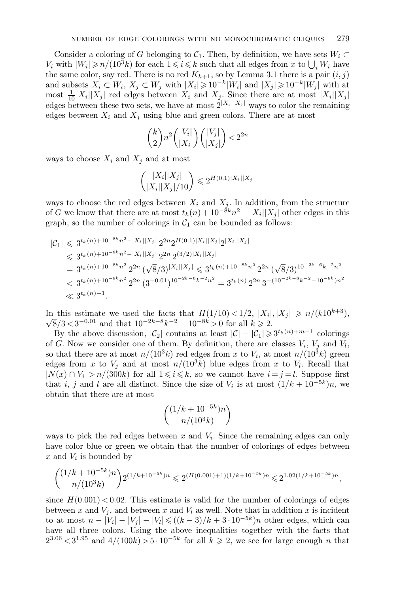Consider a coloring of G belonging to  $C_1$ . Then, by definition, we have sets  $W_i \subset$  $V_i$  with  $|W_i| \geqslant n/(10^3 k)$  for each  $1 \leqslant i \leqslant k$  such that all edges from x to  $\bigcup_i W_i$  have the same color, say red. There is no red  $K_{k+1}$ , so by Lemma 3.1 there is a pair  $(i, j)$ and subsets  $X_i \subset W_i$ ,  $X_j \subset W_j$  with  $|X_i| \geq 10^{-k}|W_i|$  and  $|X_j| \geq 10^{-k}|W_j|$  with at most  $\frac{1}{10}|X_i||X_j|$  red edges between  $X_i$  and  $X_j$ . Since there are at most  $|X_i||X_j|$ edges between these two sets, we have at most  $2^{|X_i||X_j|}$  ways to color the remaining edges between  $X_i$  and  $X_j$  using blue and green colors. There are at most

$$
\binom{k}{2}n^2\binom{|V_i|}{|X_i|}\binom{|V_j|}{|X_j|}<2^{2n}
$$

ways to choose  $X_i$  and  $X_j$  and at most

$$
\binom{|X_i||X_j|}{|X_i||X_j|/10} \leq 2^{H(0.1)|X_i||X_j|}
$$

ways to choose the red edges between  $X_i$  and  $X_j$ . In addition, from the structure of G we know that there are at most  $t_k(n) + 10^{-8k}n^2 - |X_i||X_j|$  other edges in this graph, so the number of colorings in  $C_1$  can be bounded as follows:

$$
\begin{split} |\mathcal{C}_1| &\leqslant 3^{t_k(n)+10^{-8k}n^2 - |X_i||X_j|} 2^{2n} 2^{H(0.1)|X_i||X_j|} 2^{|X_i||X_j|} \\ &\leqslant 3^{t_k(n)+10^{-8k}n^2 - |X_i||X_j|} 2^{2n} 2^{(3/2)|X_i||X_j|} \\ &= 3^{t_k(n)+10^{-8k}n^2} 2^{2n} \left( \sqrt{8}/3 \right)^{|X_i||X_j|} \leqslant 3^{t_k(n)+10^{-8k}n^2} 2^{2n} \left( \sqrt{8}/3 \right)^{10^{-2k-6}k^{-2}n^2} \\ &< 3^{t_k(n)+10^{-8k}n^2} 2^{2n} \left( 3^{-0.01} \right)^{10^{-2k-6}k^{-2}n^2} = 3^{t_k(n)} 2^{2n} 3^{-\left( 10^{-2k-8}k^{-2} - 10^{-8k} \right)n^2} \\ &\ll 3^{t_k(n)-1}. \end{split}
$$

In this estimate we used the facts that  $H(1/10) < 1/2$ ,  $|X_i|, |X_j| \ge n/(k10^{k+3})$ ,  $\frac{8}{3}$  /3 < 3<sup>-0.01</sup> and that  $10^{-2k-8}k^{-2} - 10^{-8k} > 0$  for all  $k \ge 2$ .

By the above discussion,  $|\mathcal{C}_2|$  contains at least  $|\mathcal{C}| - |\mathcal{C}_1| \geq 3^{t_k(n)+m-1}$  colorings of G. Now we consider one of them. By definition, there are classes  $V_i$ ,  $V_j$  and  $V_l$ , so that there are at most  $n/(10^3k)$  red edges from x to  $V_i$ , at most  $n/(10^3k)$  green edges from x to  $V_i$  and at most  $n/(10^3k)$  blue edges from x to  $V_i$ . Recall that  $|N(x) \cap V_i| > n/(300k)$  for all  $1 \leq i \leq k$ , so we cannot have  $i = j = l$ . Suppose first that i, j and l are all distinct. Since the size of  $V_i$  is at most  $(1/k + 10^{-5k})n$ , we obtain that there are at most

$$
\binom{(1/k+10^{-5k})n}{n/(10^3k)}
$$

ways to pick the red edges between x and  $V_i$ . Since the remaining edges can only have color blue or green we obtain that the number of colorings of edges between  $x$  and  $V_i$  is bounded by

$$
\binom{(1/k+10^{-5k})n}{n/(10^3k)}2^{(1/k+10^{-5k})n} \leqslant 2^{(H(0.001)+1)(1/k+10^{-5k})n} \leqslant 2^{1.02(1/k+10^{-5k})n},
$$

since  $H(0.001)$  < 0.02. This estimate is valid for the number of colorings of edges between x and  $V_j$ , and between x and  $V_l$  as well. Note that in addition x is incident to at most  $n - |V_i| - |V_i| - |V_i| \leq ((k-3)/k + 3 \cdot 10^{-5k})n$  other edges, which can have all three colors. Using the above inequalities together with the facts that  $2^{3.06}$  <  $3^{1.95}$  and  $4/(100k) > 5 \cdot 10^{-5k}$  for all  $k \ge 2$ , we see for large enough n that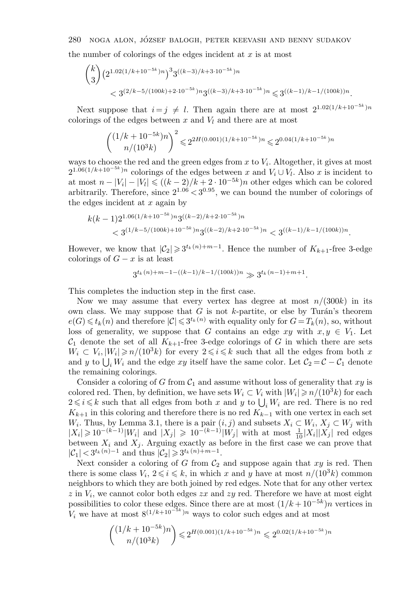the number of colorings of the edges incident at  $x$  is at most

$$
{\binom{k}{3}} \left( 2^{1.02(1/k+10^{-5k})n} \right)^3 3^{((k-3)/k+3 \cdot 10^{-5k})n}
$$
  
< 
$$
< 3^{(2/k-5/(100k)+2 \cdot 10^{-5k})n} 3^{((k-3)/k+3 \cdot 10^{-5k})n} \leq 3^{((k-1)/k-1/(100k))n}.
$$

Next suppose that  $i = j \neq l$ . Then again there are at most  $2^{1.02(1/k+10^{-5k})n}$ colorings of the edges between  $x$  and  $V_l$  and there are at most

$$
\binom{(1/k+10^{-5k})n}{n/(10^3k)}^2 \leq 2^{2H(0.001)(1/k+10^{-5k})n} \leq 2^{0.04(1/k+10^{-5k})n}
$$

ways to choose the red and the green edges from  $x$  to  $V_i$ . Altogether, it gives at most  $2^{1.06(1/k+10^{-5k})n}$  colorings of the edges between x and  $V_i \cup V_l$ . Also x is incident to at most  $n - |V_i| - |V_i| \leq (k-2)/k + 2 \cdot 10^{-5k}$ )n other edges which can be colored arbitrarily. Therefore, since  $2^{1.06} < 3^{0.95}$ , we can bound the number of colorings of the edges incident at  $x$  again by

$$
k(k-1)2^{1.06(1/k+10^{-5k})n}3^{((k-2)/k+2\cdot10^{-5k})n}
$$
  
< 
$$
< 3^{(1/k-5/(100k)+10^{-5k})n}3^{((k-2)/k+2\cdot10^{-5k})n} < 3^{((k-1)/k-1/(100k))n}.
$$

However, we know that  $|\mathcal{C}_2| \geq 3^{t_k(n)+m-1}$ . Hence the number of  $K_{k+1}$ -free 3-edge colorings of  $G - x$  is at least

$$
3^{t_k(n)+m-1-((k-1)/k-1/(100k))n}\gg 3^{t_k(n-1)+m+1}.
$$

This completes the induction step in the first case.

Now we may assume that every vertex has degree at most  $n/(300k)$  in its own class. We may suppose that  $G$  is not  $k$ -partite, or else by Turán's theorem  $e(G) \leq t_k(n)$  and therefore  $|C| \leq 3^{t_k(n)}$  with equality only for  $G = T_k(n)$ , so, without loss of generality, we suppose that G contains an edge  $xy$  with  $x, y \in V_1$ . Let  $\mathcal{C}_1$  denote the set of all  $K_{k+1}$ -free 3-edge colorings of G in which there are sets  $W_i \subset V_i, |W_i| \geqslant n/(10^3k)$  for every  $2 \leqslant i \leqslant k$  such that all the edges from both x and y to  $\bigcup_i W_i$  and the edge xy itself have the same color. Let  $C_2 = C - C_1$  denote the remaining colorings.

Consider a coloring of G from  $C_1$  and assume without loss of generality that xy is colored red. Then, by definition, we have sets  $W_i \subset V_i$  with  $|W_i| \geq n/(10^3 k)$  for each  $2 \leq i \leq k$  such that all edges from both x and y to  $\bigcup_i W_i$  are red. There is no red  $K_{k+1}$  in this coloring and therefore there is no red  $K_{k-1}$  with one vertex in each set W<sub>i</sub>. Thus, by Lemma 3.1, there is a pair  $(i, j)$  and subsets  $X_i \subset W_i$ ,  $X_j \subset W_j$  with  $|X_i| \geq 10^{-(k-1)}|W_i|$  and  $|X_j| \geq 10^{-(k-1)}|W_j|$  with at most  $\frac{1}{10}|X_i||X_j|$  red edges between  $X_i$  and  $X_j$ . Arguing exactly as before in the first case we can prove that  $|\mathcal{C}_1| < 3^{t_k(n)-1}$  and thus  $|\mathcal{C}_2| \geq 3^{t_k(n)+m-1}$ .

Next consider a coloring of G from  $C_2$  and suppose again that  $xy$  is red. Then there is some class  $V_i$ ,  $2 \leq i \leq k$ , in which x and y have at most  $n/(10^3k)$  common neighbors to which they are both joined by red edges. Note that for any other vertex  $z$  in  $V_i$ , we cannot color both edges  $zx$  and  $zy$  red. Therefore we have at most eight possibilities to color these edges. Since there are at most  $(1/k + 10^{-5k})n$  vertices in  $V_i$  we have at most  $8^{(1/k+10^{-5k})n}$  ways to color such edges and at most

$$
\binom{(1/k+10^{-5k})n}{n/(10^3k)} \le 2^{H(0.001)(1/k+10^{-5k})n} \le 2^{0.02(1/k+10^{-5k})n}
$$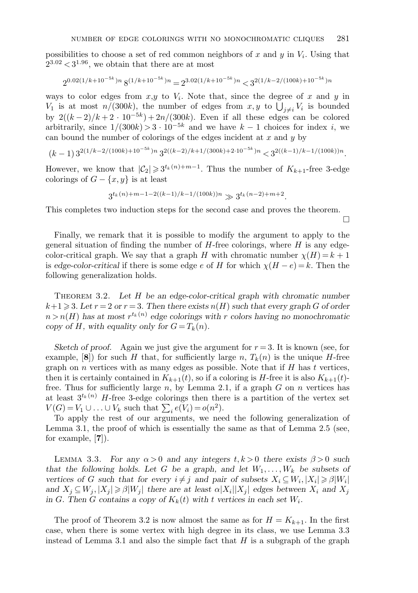possibilities to choose a set of red common neighbors of x and  $y$  in  $V_i$ . Using that  $2^{3.02} < 3^{1.96}$ , we obtain that there are at most

$$
2^{0.02(1/k+10^{-5k})n}8^{(1/k+10^{-5k})n} = 2^{3.02(1/k+10^{-5k})n} < 3^{2(1/k-2/(100k)+10^{-5k})n}
$$

ways to color edges from  $x, y$  to  $V_i$ . Note that, since the degree of x and y in  $V_1$  is at most  $n/(300k)$ , the number of edges from  $x, y$  to  $\bigcup_{j\neq i} V_i$  is bounded by  $2((k-2)/k+2 \cdot 10^{-5k})+2n/(300k)$ . Even if all these edges can be colored arbitrarily, since  $1/(300k) > 3 \cdot 10^{-5k}$  and we have  $k-1$  choices for index i, we can bound the number of colorings of the edges incident at  $x$  and  $y$  by

$$
(k-1)\, 3^{2(1/k-2/(100k)+10^{-5k})n}\, 3^{2((k-2)/k+1/(300k)+2\cdot 10^{-5k})n} < 3^{2((k-1)/k-1/(100k))n}.
$$

However, we know that  $|\mathcal{C}_2| \geq 3^{t_k(n)+m-1}$ . Thus the number of  $K_{k+1}$ -free 3-edge colorings of  $G - \{x, y\}$  is at least

$$
3^{t_k(n)+m-1-2((k-1)/k-1/(100k))n}\gg 3^{t_k(n-2)+m+2}.
$$

This completes two induction steps for the second case and proves the theorem.

 $\Box$ 

Finally, we remark that it is possible to modify the argument to apply to the general situation of finding the number of  $H$ -free colorings, where  $H$  is any edgecolor-critical graph. We say that a graph H with chromatic number  $\chi(H) = k + 1$ is *edge-color-critical* if there is some edge e of H for which  $\chi(H - e) = k$ . Then the following generalization holds.

Theorem 3.2. *Let* H *be an edge-color-critical graph with chromatic number*  $k+1 \geqslant 3$ . Let  $r = 2$  or  $r = 3$ . Then there exists  $n(H)$  such that every graph G of order  $n > n(H)$  has at most  $r^{t_k(n)}$  edge colorings with r colors having no monochromatic *copy of H, with equality only for*  $G = T_k(n)$ *.* 

*Sketch of proof.* Again we just give the argument for  $r = 3$ . It is known (see, for example, [8]) for such H that, for sufficiently large n,  $T_k(n)$  is the unique H-free graph on  $n$  vertices with as many edges as possible. Note that if  $H$  has  $t$  vertices, then it is certainly contained in  $K_{k+1}(t)$ , so if a coloring is H-free it is also  $K_{k+1}(t)$ free. Thus for sufficiently large n, by Lemma 2.1, if a graph  $G$  on  $n$  vertices has at least  $3^{t_k(n)}$  H-free 3-edge colorings then there is a partition of the vertex set  $V(G) = V_1 \cup \ldots \cup V_k$  such that  $\sum_i e(V_i) = o(n^2)$ .

To apply the rest of our arguments, we need the following generalization of Lemma 3.1, the proof of which is essentially the same as that of Lemma 2.5 (see, for example, [**7**]).

LEMMA 3.3. *For any*  $\alpha > 0$  *and any integers*  $t, k > 0$  *there exists*  $\beta > 0$  *such* that the following holds. Let G be a graph, and let  $W_1, \ldots, W_k$  be subsets of *vertices of* G such that for every  $i \neq j$  and pair of subsets  $X_i \subseteq W_i, |X_i| \geq \beta |W_i|$ and  $X_j \subseteq W_j$ ,  $|X_j| \geq \beta |W_j|$  *there are at least*  $\alpha |X_i| |X_j|$  *edges between*  $X_i$  *and*  $X_j$ in G. Then G contains a copy of  $K_k(t)$  with t vertices in each set  $W_i$ .

The proof of Theorem 3.2 is now almost the same as for  $H = K_{k+1}$ . In the first case, when there is some vertex with high degree in its class, we use Lemma 3.3 instead of Lemma 3.1 and also the simple fact that  $H$  is a subgraph of the graph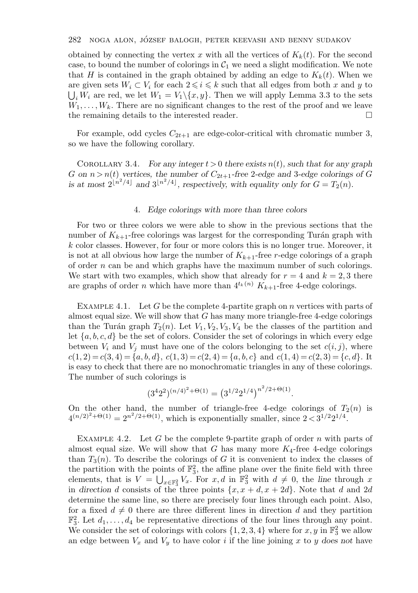obtained by connecting the vertex x with all the vertices of  $K_k(t)$ . For the second case, to bound the number of colorings in  $C_1$  we need a slight modification. We note that H is contained in the graph obtained by adding an edge to  $K_k(t)$ . When we are given sets  $W_i \subset V_i$  for each  $2 \leq i \leq k$  such that all edges from both x and y to  $\bigcup_i W_i$  are red, we let  $W_1 = V_1 \setminus \{x, y\}$ . Then we will apply Lemma 3.3 to the sets  $W_1, \ldots, W_k$ . There are no significant changes to the rest of the proof and we leave the remaining details to the interested reader.  $\Box$ 

For example, odd cycles  $C_{2t+1}$  are edge-color-critical with chromatic number 3, so we have the following corollary.

COROLLARY 3.4. *For any integer*  $t > 0$  *there exists*  $n(t)$ *, such that for any graph* G on  $n > n(t)$  vertices, the number of  $C_{2t+1}$ -free 2-edge and 3-edge colorings of G is at most  $2^{\lfloor n^2/4 \rfloor}$  and  $3^{\lfloor n^2/4 \rfloor}$ , respectively, with equality only for  $G = T_2(n)$ .

### 4. *Edge colorings with more than three colors*

For two or three colors we were able to show in the previous sections that the number of  $K_{k+1}$ -free colorings was largest for the corresponding Turán graph with k color classes. However, for four or more colors this is no longer true. Moreover, it is not at all obvious how large the number of  $K_{k+1}$ -free r-edge colorings of a graph of order  $n$  can be and which graphs have the maximum number of such colorings. We start with two examples, which show that already for  $r = 4$  and  $k = 2, 3$  there are graphs of order n which have more than  $4^{t_k(n)} K_{k+1}$ -free 4-edge colorings.

EXAMPLE 4.1. Let G be the complete 4-partite graph on n vertices with parts of almost equal size. We will show that  $G$  has many more triangle-free 4-edge colorings than the Turán graph  $T_2(n)$ . Let  $V_1, V_2, V_3, V_4$  be the classes of the partition and let  $\{a, b, c, d\}$  be the set of colors. Consider the set of colorings in which every edge between  $V_i$  and  $V_j$  must have one of the colors belonging to the set  $c(i, j)$ , where  $c(1, 2) = c(3, 4) = \{a, b, d\}, c(1, 3) = c(2, 4) = \{a, b, c\}$  and  $c(1, 4) = c(2, 3) = \{c, d\}.$  It is easy to check that there are no monochromatic triangles in any of these colorings. The number of such colorings is

$$
(3422)(n/4)2 + \Theta(1) = (31/221/4)n2/2 + \Theta(1).
$$

On the other hand, the number of triangle-free 4-edge colorings of  $T_2(n)$  is  $4^{(n/2)^2+O(1)} = 2^{n^2/2+O(1)}$ , which is exponentially smaller, since  $2 < 3^{1/2}2^{1/4}$ .

EXAMPLE 4.2. Let  $G$  be the complete 9-partite graph of order  $n$  with parts of almost equal size. We will show that G has many more  $K_4$ -free 4-edge colorings than  $T_3(n)$ . To describe the colorings of G it is convenient to index the classes of the partition with the points of  $\mathbb{F}_3^2$ , the affine plane over the finite field with three elements, that is  $V = \bigcup_{x \in \mathbb{F}_3^2} V_x$ . For  $x, d$  in  $\mathbb{F}_3^2$  with  $d \neq 0$ , the *line* through x in direction d consists of the three points  $\{x, x + d, x + 2d\}$ . Note that d and 2d determine the same line, so there are precisely four lines through each point. Also, for a fixed  $d \neq 0$  there are three different lines in direction d and they partition  $\mathbb{F}_3^2$ . Let  $d_1, \ldots, d_4$  be representative directions of the four lines through any point. We consider the set of colorings with colors  $\{1, 2, 3, 4\}$  where for  $x, y$  in  $\mathbb{F}_3^2$  we allow an edge between  $V_x$  and  $V_y$  to have color i if the line joining x to y does not have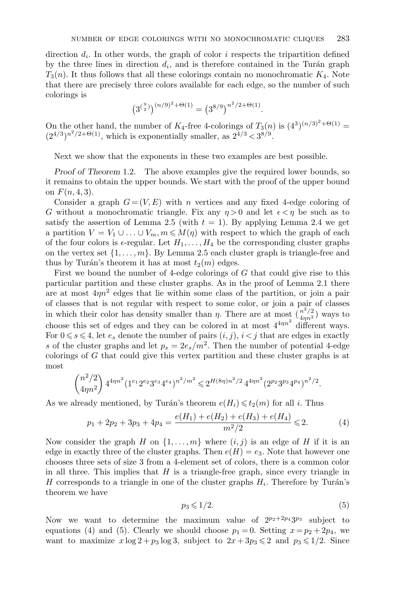direction  $d_i$ . In other words, the graph of color i respects the tripartition defined by the three lines in direction  $d_i$ , and is therefore contained in the Turán graph  $T_3(n)$ . It thus follows that all these colorings contain no monochromatic  $K_4$ . Note that there are precisely three colors available for each edge, so the number of such colorings is

$$
(3^{9/2})^{(n/9)^2 + \Theta(1)} = (3^{8/9})^{n^2/2 + \Theta(1)}.
$$

On the other hand, the number of  $K_4$ -free 4-colorings of  $T_3(n)$  is  $(4^3)^{(n/3)^2+\Theta(1)}$  $(2^{4/3})^{n^2/2+\Theta(1)}$ , which is exponentially smaller, as  $2^{4/3} < 3^{8/9}$ .

Next we show that the exponents in these two examples are best possible.

*Proof of Theorem* 1.2. The above examples give the required lower bounds, so it remains to obtain the upper bounds. We start with the proof of the upper bound on  $F(n, 4, 3)$ .

Consider a graph  $G = (V, E)$  with n vertices and any fixed 4-edge coloring of G without a monochromatic triangle. Fix any  $\eta > 0$  and let  $\epsilon < \eta$  be such as to satisfy the assertion of Lemma 2.5 (with  $t = 1$ ). By applying Lemma 2.4 we get a partition  $V = V_1 \cup ... \cup V_m$ ,  $m \leq M(n)$  with respect to which the graph of each of the four colors is  $\epsilon$ -regular. Let  $H_1, \ldots, H_4$  be the corresponding cluster graphs on the vertex set  $\{1,\ldots,m\}$ . By Lemma 2.5 each cluster graph is triangle-free and thus by Turán's theorem it has at most  $t_2(m)$  edges.

First we bound the number of 4-edge colorings of  $G$  that could give rise to this particular partition and these cluster graphs. As in the proof of Lemma 2.1 there are at most  $4\eta n^2$  edges that lie within some class of the partition, or join a pair of classes that is not regular with respect to some color, or join a pair of classes in which their color has density smaller than  $\eta$ . There are at most  $\left(\frac{n^2}{4\eta n^2}\right)$  ways to choose this set of edges and they can be colored in at most  $4^{4\eta n^2}$  different ways. For  $0 \le s \le 4$ , let  $e_s$  denote the number of pairs  $(i, j)$ ,  $i < j$  that are edges in exactly s of the cluster graphs and let  $p_s = 2e_s/m^2$ . Then the number of potential 4-edge colorings of G that could give this vertex partition and these cluster graphs is at most

$$
\binom{n^2/2}{4\eta n^2}\,4^{4\eta n^2}(1^{e_1}2^{e_2}3^{e_3}4^{e_4})^{n^2/m^2}\leqslant 2^{H(8\eta)n^2/2}\,4^{4\eta n^2}(2^{p_2}3^{p_3}4^{p_4})^{n^2/2}.
$$

As we already mentioned, by Turán's theorem  $e(H_i) \leq t_2(m)$  for all i. Thus

$$
p_1 + 2p_2 + 3p_3 + 4p_4 = \frac{e(H_1) + e(H_2) + e(H_3) + e(H_4)}{m^2/2} \le 2.
$$
 (4)

Now consider the graph H on  $\{1,\ldots,m\}$  where  $(i, j)$  is an edge of H if it is an edge in exactly three of the cluster graphs. Then  $e(H) = e_3$ . Note that however one chooses three sets of size 3 from a 4-element set of colors, there is a common color in all three. This implies that  $H$  is a triangle-free graph, since every triangle in H corresponds to a triangle in one of the cluster graphs  $H_i$ . Therefore by Turán's theorem we have

$$
p_3 \leqslant 1/2. \tag{5}
$$

Now we want to determine the maximum value of  $2^{p_2+2p_4}3^{p_3}$  subject to equations (4) and (5). Clearly we should choose  $p_1 = 0$ . Setting  $x = p_2 + 2p_4$ , we want to maximize  $x \log 2 + p_3 \log 3$ , subject to  $2x + 3p_3 \leq 2$  and  $p_3 \leq 1/2$ . Since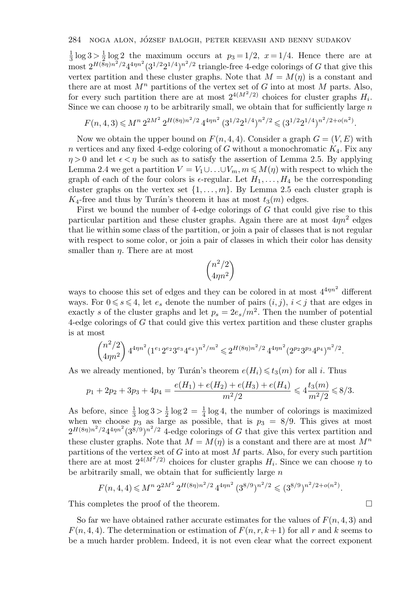$\frac{1}{3}$  log  $3 > \frac{1}{2}$  log 2 the maximum occurs at  $p_3 = 1/2$ ,  $x = 1/4$ . Hence there are at most  $2^{H(\bar{8}\eta)n^2/2}4^{4\eta n^2}(3^{1/2}2^{1/4})^{n^2/2}$  triangle-free 4-edge colorings of G that give this vertex partition and these cluster graphs. Note that  $M = M(n)$  is a constant and there are at most  $M^n$  partitions of the vertex set of G into at most M parts. Also, for every such partition there are at most  $2^{4(M^2/2)}$  choices for cluster graphs  $H_i$ . Since we can choose  $\eta$  to be arbitrarily small, we obtain that for sufficiently large  $n$ 

$$
F(n,4,3) \le M^n 2^{2M^2} 2^{H(8\eta)n^2/2} 4^{4\eta n^2} (3^{1/2} 2^{1/4})^{n^2/2} \le (3^{1/2} 2^{1/4})^{n^2/2 + o(n^2)}.
$$

Now we obtain the upper bound on  $F(n, 4, 4)$ . Consider a graph  $G = (V, E)$  with n vertices and any fixed 4-edge coloring of G without a monochromatic  $K_4$ . Fix any  $\eta > 0$  and let  $\epsilon < \eta$  be such as to satisfy the assertion of Lemma 2.5. By applying Lemma 2.4 we get a partition  $V = V_1 \cup ... \cup V_m$ ,  $m \leq M(\eta)$  with respect to which the graph of each of the four colors is  $\epsilon$ -regular. Let  $H_1, \ldots, H_4$  be the corresponding cluster graphs on the vertex set  $\{1,\ldots,m\}$ . By Lemma 2.5 each cluster graph is  $K_4$ -free and thus by Turán's theorem it has at most  $t_3(m)$  edges.

First we bound the number of 4-edge colorings of  $G$  that could give rise to this particular partition and these cluster graphs. Again there are at most  $4\eta n^2$  edges that lie within some class of the partition, or join a pair of classes that is not regular with respect to some color, or join a pair of classes in which their color has density smaller than  $\eta$ . There are at most

$$
\binom{n^2/2}{4\eta n^2}
$$

ways to choose this set of edges and they can be colored in at most  $4^{4\eta n^2}$  different ways. For  $0 \le s \le 4$ , let  $e_s$  denote the number of pairs  $(i, j)$ ,  $i < j$  that are edges in exactly s of the cluster graphs and let  $p_s = 2e_s/m^2$ . Then the number of potential 4-edge colorings of G that could give this vertex partition and these cluster graphs is at most

$$
\binom{n^2/2}{4\eta n^2} 4^{4\eta n^2} (1^{e_1} 2^{e_2} 3^{e_3} 4^{e_4})^{n^2/m^2} \leq 2^{H(8\eta)n^2/2} 4^{4\eta n^2} (2^{p_2} 3^{p_3} 4^{p_4})^{n^2/2}.
$$

As we already mentioned, by Turán's theorem  $e(H_i) \leq t_3(m)$  for all i. Thus

$$
p_1 + 2p_2 + 3p_3 + 4p_4 = \frac{e(H_1) + e(H_2) + e(H_3) + e(H_4)}{m^2/2} \leqslant 4\frac{t_3(m)}{m^2/2} \leqslant 8/3.
$$

As before, since  $\frac{1}{3} \log 3 > \frac{1}{2} \log 2 = \frac{1}{4} \log 4$ , the number of colorings is maximized when we choose  $p_3$  as large as possible, that is  $p_3 = 8/9$ . This gives at most  $2^{H(8\eta)n^2/2}4^{4\eta n^2}(3^{8/9})^{n^2/2}$  4-edge colorings of G that give this vertex partition and these cluster graphs. Note that  $M = M(\eta)$  is a constant and there are at most  $M^n$ partitions of the vertex set of  $G$  into at most  $M$  parts. Also, for every such partition there are at most  $2^{4(M^2/2)}$  choices for cluster graphs  $H_i$ . Since we can choose  $\eta$  to be arbitrarily small, we obtain that for sufficiently large  $n$ 

$$
F(n,4,4) \leqslant M^{n} 2^{2M^{2}} 2^{H(8\eta)n^{2}/2} 4^{4\eta n^{2}} (3^{8/9})^{n^{2}/2} \leqslant (3^{8/9})^{n^{2}/2 + o(n^{2})}.
$$

This completes the proof of the theorem.

So far we have obtained rather accurate estimates for the values of  $F(n, 4, 3)$  and  $F(n, 4, 4)$ . The determination or estimation of  $F(n, r, k+1)$  for all r and k seems to be a much harder problem. Indeed, it is not even clear what the correct exponent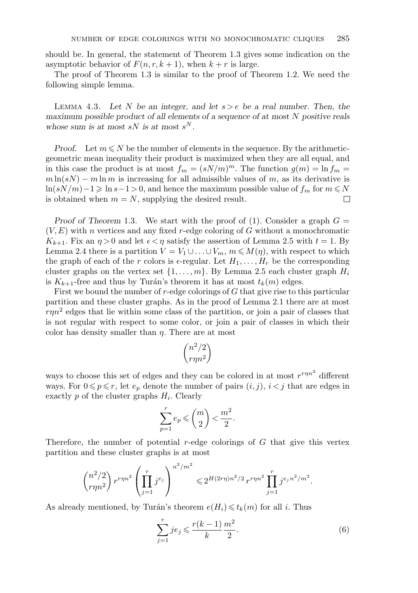should be. In general, the statement of Theorem 1.3 gives some indication on the asymptotic behavior of  $F(n, r, k+1)$ , when  $k + r$  is large.

The proof of Theorem 1.3 is similar to the proof of Theorem 1.2. We need the following simple lemma.

Lemma 4.3. *Let* N *be an integer, and let* s>e *be a real number. Then, the maximum possible product of all elements of a sequence of at most N positive reals whose sum is at most*  $sN$  *is at most*  $s^N$ *.* 

*Proof.* Let  $m \leq N$  be the number of elements in the sequence. By the arithmeticgeometric mean inequality their product is maximized when they are all equal, and in this case the product is at most  $f_m = (sN/m)^m$ . The function  $g(m) = \ln f_m =$  $m \ln(sN) - m \ln m$  is increasing for all admissible values of m, as its derivative is  $\ln(sN/m)-1 \geqslant \ln s-1 > 0$ , and hence the maximum possible value of  $f_m$  for  $m \leqslant N$ is obtained when  $m = N$ , supplying the desired result. П

*Proof of Theorem* 1.3. We start with the proof of (1). Consider a graph  $G =$  $(V, E)$  with n vertices and any fixed r-edge coloring of G without a monochromatic  $K_{k+1}$ . Fix an  $\eta > 0$  and let  $\epsilon < \eta$  satisfy the assertion of Lemma 2.5 with  $t = 1$ . By Lemma 2.4 there is a partition  $V = V_1 \cup ... \cup V_m$ ,  $m \leq M(\eta)$ , with respect to which the graph of each of the r colors is  $\epsilon$ -regular. Let  $H_1, \ldots, H_r$  be the corresponding cluster graphs on the vertex set  $\{1,\ldots,m\}$ . By Lemma 2.5 each cluster graph  $H_i$ is  $K_{k+1}$ -free and thus by Turán's theorem it has at most  $t_k(m)$  edges.

First we bound the number of  $r$ -edge colorings of  $G$  that give rise to this particular partition and these cluster graphs. As in the proof of Lemma 2.1 there are at most  $r\eta n^2$  edges that lie within some class of the partition, or join a pair of classes that is not regular with respect to some color, or join a pair of classes in which their color has density smaller than  $\eta$ . There are at most

$$
\binom{n^2/2}{r\eta n^2}
$$

ways to choose this set of edges and they can be colored in at most  $r^{r\eta n^2}$  different ways. For  $0 \leq p \leq r$ , let  $e_p$  denote the number of pairs  $(i, j)$ ,  $i < j$  that are edges in exactly  $p$  of the cluster graphs  $H_i$ . Clearly

$$
\sum_{p=1}^r e_p \leqslant \binom{m}{2} < \frac{m^2}{2}.
$$

Therefore, the number of potential  $r$ -edge colorings of  $G$  that give this vertex partition and these cluster graphs is at most

$$
\binom{n^2/2}{r\eta n^2} r^{r\eta n^2} \left(\prod_{j=1}^r j^{e_j}\right)^{n^2/m^2} \leq 2^{H(2r\eta)n^2/2} r^{r\eta n^2} \prod_{j=1}^r j^{e_j n^2/m^2}.
$$

As already mentioned, by Turán's theorem  $e(H_i) \leq t_k(m)$  for all i. Thus

$$
\sum_{j=1}^{r} je_j \leq \frac{r(k-1)}{k} \frac{m^2}{2}.
$$
\n(6)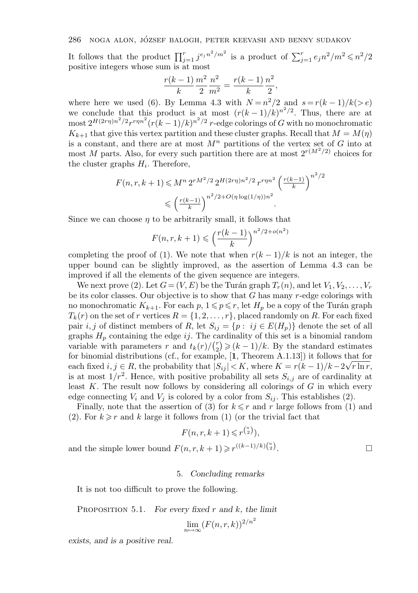It follows that the product  $\prod_{j=1}^r j^{e_j n^2/m^2}$  is a product of  $\sum_{j=1}^r e_j n^2/m^2 \leq n^2/2$ positive integers whose sum is at most

$$
\frac{r(k-1)}{k}\frac{m^2}{2}\frac{n^2}{m^2} = \frac{r(k-1)}{k}\frac{n^2}{2},
$$

where here we used (6). By Lemma 4.3 with  $N = n^2/2$  and  $s = r(k-1)/k(>e)$ we conclude that this product is at most  $(r(k-1)/k)^{n^2/2}$ . Thus, there are at most  $2^{H(2r\eta)n^2/2}r^{r\eta n^2}(r(k-1)/k)^{n^2/2}r$ -edge colorings of G with no monochromatic  $K_{k+1}$  that give this vertex partition and these cluster graphs. Recall that  $M = M(\eta)$ is a constant, and there are at most  $M<sup>n</sup>$  partitions of the vertex set of G into at most M parts. Also, for every such partition there are at most  $2^{r(M^2/2)}$  choices for the cluster graphs  $H_i$ . Therefore,

$$
F(n, r, k+1) \leq M^n 2^{rM^2/2} 2^{H(2r\eta)n^2/2} r^{r\eta n^2} \left(\frac{r(k-1)}{k}\right)^{n^2/2}
$$

$$
\leqslant \left(\frac{r(k-1)}{k}\right)^{n^2/2 + O(\eta \log(1/\eta))n^2}
$$

Since we can choose  $\eta$  to be arbitrarily small, it follows that

$$
F(n,r,k+1) \leqslant \left(\frac{r(k-1)}{k}\right)^{n^2/2 + o(n^2)}
$$

completing the proof of (1). We note that when  $r(k-1)/k$  is not an integer, the upper bound can be slightly improved, as the assertion of Lemma 4.3 can be improved if all the elements of the given sequence are integers.

We next prove (2). Let  $G = (V, E)$  be the Turán graph  $T_r(n)$ , and let  $V_1, V_2, \ldots, V_r$ be its color classes. Our objective is to show that  $G$  has many  $r$ -edge colorings with no monochromatic  $K_{k+1}$ . For each  $p, 1 \leq p \leq r$ , let  $H_p$  be a copy of the Turán graph  $T_k(r)$  on the set of r vertices  $R = \{1, 2, ..., r\}$ , placed randomly on R. For each fixed pair i, j of distinct members of R, let  $S_{ij} = \{p : ij \in E(H_p)\}\$  denote the set of all graphs  $H_p$  containing the edge ij. The cardinality of this set is a binomial random variable with parameters r and  $t_k(r)/\binom{r}{2} \geqslant (k-1)/k$ . By the standard estimates for binomial distributions (cf., for example,  $[1,$  Theorem A.1.13]) it follows that for each fixed  $i, j \in R$ , the probability that  $|S_{ij}| < K$ , where  $K = r(k-1)/k - 2\sqrt{r \ln r}$ , is at most  $1/r^2$ . Hence, with positive probability all sets  $S_{i,j}$  are of cardinality at least  $K$ . The result now follows by considering all colorings of  $G$  in which every edge connecting  $V_i$  and  $V_j$  is colored by a color from  $S_{ij}$ . This establishes (2).

Finally, note that the assertion of (3) for  $k \leq r$  and r large follows from (1) and (2). For  $k \geq r$  and k large it follows from (1) (or the trivial fact that

$$
F(n,r,k+1) \leqslant r^{\binom{n}{2}}),
$$

and the simple lower bound  $F(n, r, k + 1) \ge r^{((k-1)/k) {n \choose 2}}$ 

### 5. *Concluding remarks*

It is not too difficult to prove the following.

Proposition 5.1. *For every fixed* r *and* k*, the limit*

$$
\lim_{n \to \infty} (F(n, r, k))^{2/n^2}
$$

*exists, and is a positive real.*

 $\begin{array}{c}\n\binom{n}{2}.\n\end{array}$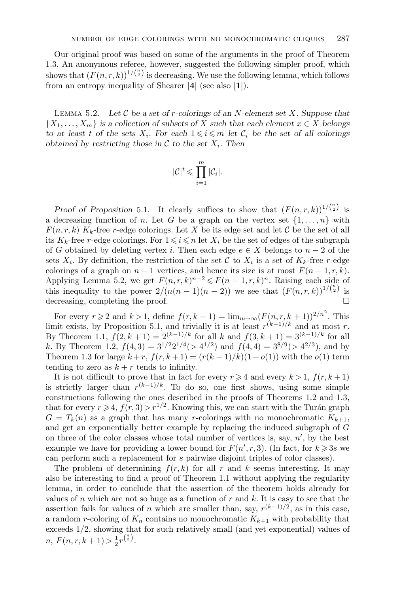Our original proof was based on some of the arguments in the proof of Theorem 1.3. An anonymous referee, however, suggested the following simpler proof, which shows that  $(F(n, r, k))^{1/{n \choose 2}}$  is decreasing. We use the following lemma, which follows from an entropy inequality of Shearer [**4**] (see also [**1**]).

Lemma 5.2. *Let* C *be a set of* r*-colorings of an* N*-element set* X*. Suppose that*  $\{X_1,\ldots,X_m\}$  *is a collection of subsets of* X *such that each element*  $x \in X$  *belongs to at least t of the sets*  $X_i$ *. For each*  $1 \leq i \leq m$  *let*  $C_i$  *be the set of all colorings obtained by restricting those in*  $\mathcal C$  *to the set*  $X_i$ *. Then* 

$$
|\mathcal{C}|^t \leqslant \prod_{i=1}^m |\mathcal{C}_i|.
$$

*Proof of Proposition* 5.1. It clearly suffices to show that  $(F(n, r, k))^{1/{n \choose 2}}$  is a decreasing function of n. Let G be a graph on the vertex set  $\{1,\ldots,n\}$  with  $F(n, r, k)$  K<sub>k</sub>-free r-edge colorings. Let X be its edge set and let C be the set of all its  $K_k$ -free r-edge colorings. For  $1 \leq i \leq n$  let  $X_i$  be the set of edges of the subgraph of G obtained by deleting vertex i. Then each edge  $e \in X$  belongs to  $n-2$  of the sets  $X_i$ . By definition, the restriction of the set C to  $X_i$  is a set of  $K_k$ -free r-edge colorings of a graph on  $n-1$  vertices, and hence its size is at most  $F(n-1, r, k)$ . Applying Lemma 5.2, we get  $F(n, r, k)^{n-2} \leq F(n-1, r, k)^n$ . Raising each side of this inequality to the power  $2/(n(n-1)(n-2))$  we see that  $(F(n,r,k))^{1/{n \choose 2}}$  is decreasing, completing the proof.

For every  $r \geqslant 2$  and  $k > 1$ , define  $f(r, k + 1) = \lim_{n \to \infty} (F(n, r, k + 1))^{2/n^2}$ . This limit exists, by Proposition 5.1, and trivially it is at least  $r^{(k-1)/k}$  and at most r. By Theorem 1.1,  $f(2, k + 1) = 2^{(k-1)/k}$  for all k and  $f(3, k + 1) = 3^{(k-1)/k}$  for all k. By Theorem 1.2,  $f(4,3) = 3^{1/2}2^{1/4} (> 4^{1/2})$  and  $f(4,4) = 3^{8/9} (> 4^{2/3})$ , and by Theorem 1.3 for large  $k + r$ ,  $f(r, k + 1) = (r(k - 1)/k)(1 + o(1))$  with the  $o(1)$  term tending to zero as  $k + r$  tends to infinity.

It is not difficult to prove that in fact for every  $r \geq 4$  and every  $k > 1$ ,  $f(r, k + 1)$ is strictly larger than  $r^{(k-1)/k}$ . To do so, one first shows, using some simple constructions following the ones described in the proofs of Theorems 1.2 and 1.3, that for every  $r \geq 4$ ,  $f(r, 3) > r^{1/2}$ . Knowing this, we can start with the Turán graph  $G = T_k(n)$  as a graph that has many r-colorings with no monochromatic  $K_{k+1}$ , and get an exponentially better example by replacing the induced subgraph of G on three of the color classes whose total number of vertices is, say,  $n'$ , by the best example we have for providing a lower bound for  $F(n', r, 3)$ . (In fact, for  $k \geq 3s$  we can perform such a replacement for s pairwise disjoint triples of color classes).

The problem of determining  $f(r, k)$  for all r and k seems interesting. It may also be interesting to find a proof of Theorem 1.1 without applying the regularity lemma, in order to conclude that the assertion of the theorem holds already for values of n which are not so huge as a function of  $r$  and  $k$ . It is easy to see that the assertion fails for values of n which are smaller than, say,  $r^{(k-1)/2}$ , as in this case, a random r-coloring of  $K_n$  contains no monochromatic  $K_{k+1}$  with probability that exceeds 1/2, showing that for such relatively small (and yet exponential) values of  $n, F(n, r, k+1) > \frac{1}{2}r^{\binom{n}{2}}.$